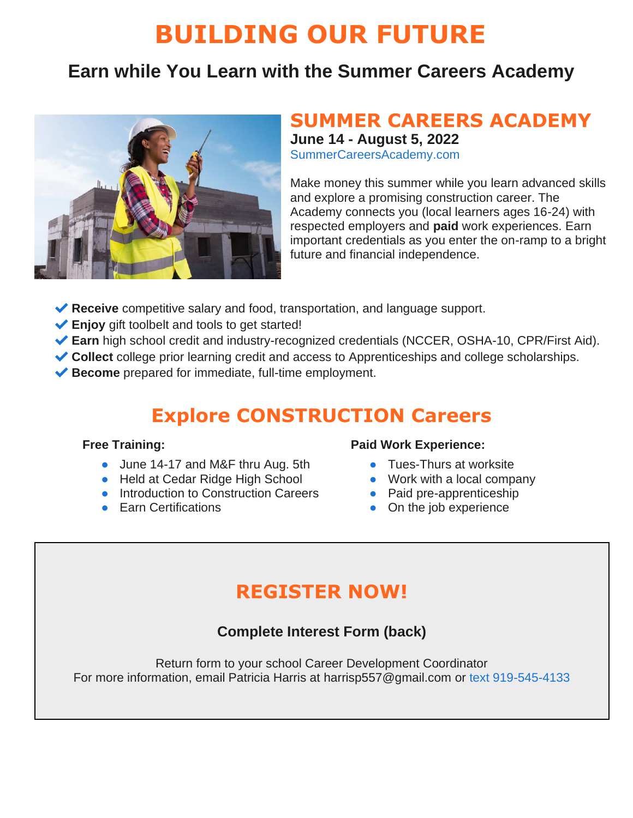# **BUILDING OUR FUTURE**

### **Earn while You Learn with the Summer Careers Academy**



## **SUMMER CAREERS ACADEMY**

**June 14 - August 5, 2022**

[SummerCareersAcademy.com](http://www.summercareersacademy.com/)

Make money this summer while you learn advanced skills and explore a promising construction career. The Academy connects you (local learners ages 16-24) with respected employers and **paid** work experiences. Earn important credentials as you enter the on-ramp to a bright future and financial independence.

- **◆ Receive** competitive salary and food, transportation, and language support.
- **Enjoy** gift toolbelt and tools to get started!
- ✔**Earn** high school credit and industry-recognized credentials (NCCER, OSHA-10, CPR/First Aid).
- ◆ Collect college prior learning credit and access to Apprenticeships and college scholarships.
- ◆ **Become** prepared for immediate, full-time employment.

### **Explore CONSTRUCTION Careers**

#### **Free Training:**

- June 14-17 and M&F thru Aug. 5th
- Held at Cedar Ridge High School
- Introduction to Construction Careers
- Earn Certifications

#### **Paid Work Experience:**

- Tues-Thurs at worksite
- Work with a local company
- Paid pre-apprenticeship
- On the job experience

### **REGISTER NOW!**

#### **Complete Interest Form (back)**

Return form to your school Career Development Coordinator For more information, email Patricia Harris at [harrisp557@gmail.com](mailto:harrisp557@gmail.com) or text 919-545-4133